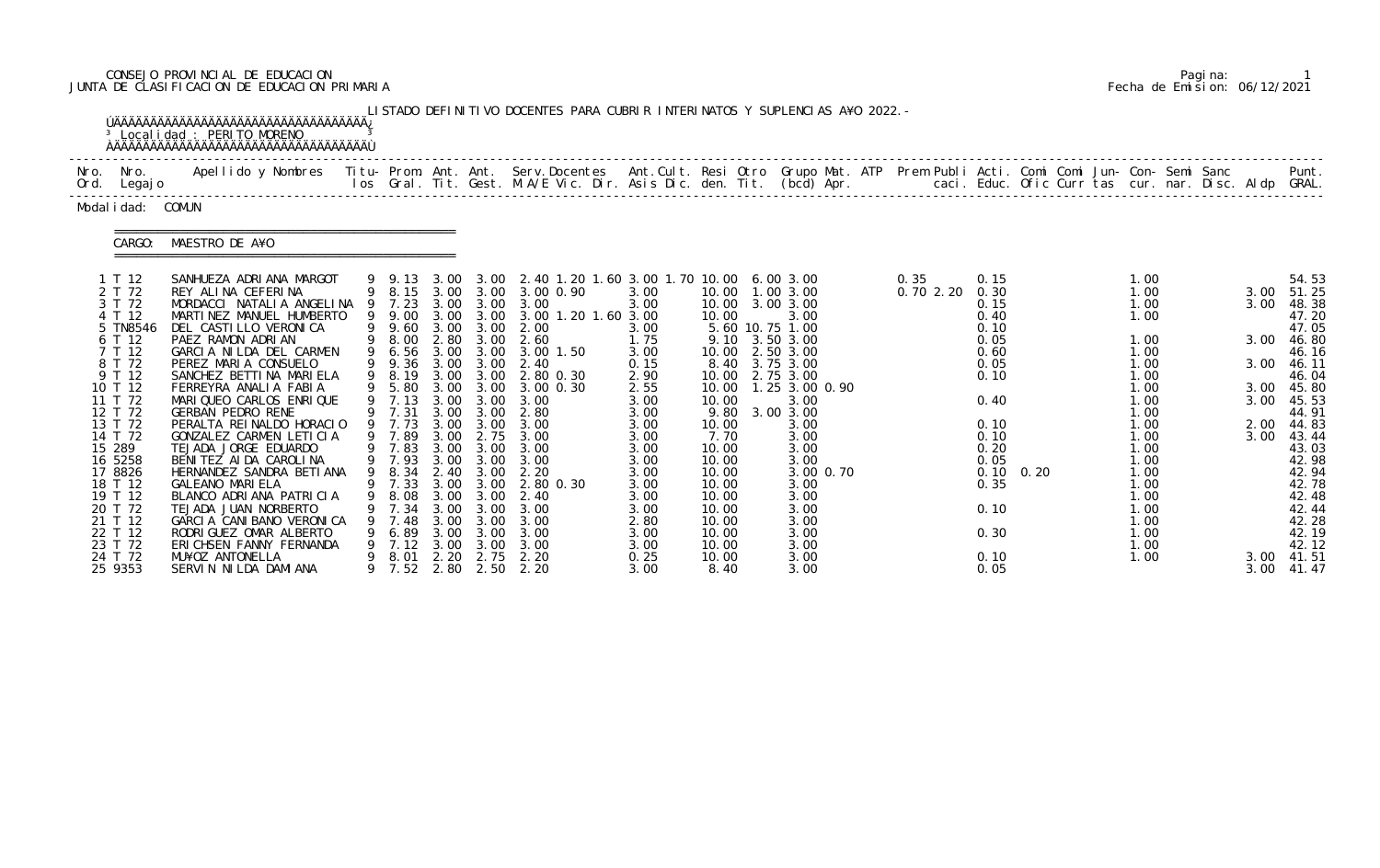# CONSEJO PROVINCIAL DE EDUCACION Pagina: 1 JUNTA DE CLASIFICACION DE EDUCACION PRIMARIA Fecha de Emision: 06/12/2021

|                                                                                                                                                                                                                                                   | <sup>3</sup> Localidad : PERITO MORENO<br><b>AAAAAAAAAAAAAAAAAAAAAAAAAAAAAAAAAAAA</b>                                                                                                                                                                                                                                                                                                                                                                                                                                                                                                                                               |                                                                                                                                                              |                                              |                                                                                     | LISTADO DEFINITIVO DOCENTES PARA CUBRIR INTERINATOS Y SUPLENCIAS A¥O 2022. -                                                                                                                                                                                                                                                                                                                                             |                                                                                                                                                                      |                                                                                                                                                     |                                                                                                                                                                                                                                                                   |                   |                                                                                                                                      |                   |                                                                                                                                                                              |  |                                                              |                                                                                                                                                                                                             |
|---------------------------------------------------------------------------------------------------------------------------------------------------------------------------------------------------------------------------------------------------|-------------------------------------------------------------------------------------------------------------------------------------------------------------------------------------------------------------------------------------------------------------------------------------------------------------------------------------------------------------------------------------------------------------------------------------------------------------------------------------------------------------------------------------------------------------------------------------------------------------------------------------|--------------------------------------------------------------------------------------------------------------------------------------------------------------|----------------------------------------------|-------------------------------------------------------------------------------------|--------------------------------------------------------------------------------------------------------------------------------------------------------------------------------------------------------------------------------------------------------------------------------------------------------------------------------------------------------------------------------------------------------------------------|----------------------------------------------------------------------------------------------------------------------------------------------------------------------|-----------------------------------------------------------------------------------------------------------------------------------------------------|-------------------------------------------------------------------------------------------------------------------------------------------------------------------------------------------------------------------------------------------------------------------|-------------------|--------------------------------------------------------------------------------------------------------------------------------------|-------------------|------------------------------------------------------------------------------------------------------------------------------------------------------------------------------|--|--------------------------------------------------------------|-------------------------------------------------------------------------------------------------------------------------------------------------------------------------------------------------------------|
| Nro. Nro.<br>Ord. Legajo                                                                                                                                                                                                                          | Apellido y Nombres  Titu- Prom. Ant. Ant.  Serv.Docentes  Ant.Cult. Resi Otro  Grupo Mat. ATP  Prem Publi Acti. Comi Comi Jun- Con- Semi Sanc              Punt.<br>Ios Gral. Tit. Gest. M.A/E Vic. Dir. Asis Dic. den. Tit. (bcd                                                                                                                                                                                                                                                                                                                                                                                                   |                                                                                                                                                              |                                              |                                                                                     |                                                                                                                                                                                                                                                                                                                                                                                                                          |                                                                                                                                                                      |                                                                                                                                                     |                                                                                                                                                                                                                                                                   |                   |                                                                                                                                      |                   |                                                                                                                                                                              |  |                                                              |                                                                                                                                                                                                             |
| Modal i dad: COMUN                                                                                                                                                                                                                                |                                                                                                                                                                                                                                                                                                                                                                                                                                                                                                                                                                                                                                     |                                                                                                                                                              |                                              |                                                                                     |                                                                                                                                                                                                                                                                                                                                                                                                                          |                                                                                                                                                                      |                                                                                                                                                     |                                                                                                                                                                                                                                                                   |                   |                                                                                                                                      |                   |                                                                                                                                                                              |  |                                                              |                                                                                                                                                                                                             |
| CARGO:                                                                                                                                                                                                                                            | MAESTRO DE A¥O                                                                                                                                                                                                                                                                                                                                                                                                                                                                                                                                                                                                                      |                                                                                                                                                              |                                              |                                                                                     |                                                                                                                                                                                                                                                                                                                                                                                                                          |                                                                                                                                                                      |                                                                                                                                                     |                                                                                                                                                                                                                                                                   |                   |                                                                                                                                      |                   |                                                                                                                                                                              |  |                                                              |                                                                                                                                                                                                             |
| 1 T 12<br>2 T 72<br>3 T 72<br>4 T 12<br>5 TN8546<br>6 T 12<br>7 T 12<br>8 T 72<br>9 T 12<br>10 T 12<br>11 T 72<br>12 T 72<br>13 T 72<br>14 T 72<br>15 289<br>16 5258<br>17 8826<br>18 T 12<br>19 T 12<br>20 T 72<br>21 T 12<br>22 T 12<br>23 T 72 | SANHUEZA ADRIANA MARGOT<br>REY ALINA CEFERINA<br>MORDACCI NATALIA ANGELINA 9 7.23 3.00 3.00 3.00<br>MARTINEZ MANUEL HUMBERTO<br>DEL CASTILLO VERONICA<br>PAEZ RAMON ADRIAN<br>GARCIA NILDA DEL CARMEN<br>PEREZ MARIA CONSUELO<br>SANCHEZ BETTINA MARIELA<br>FERREYRA ANALIA FABIA<br>MARIQUEO CARLOS ENRIQUE<br>GERBAN PEDRO RENE<br>PERALTA REINALDO HORACIO<br>GONZALEZ CARMEN LETICIA<br>TEJADA JORGE EDUARDO<br>BENITEZ AIDA CAROLINA<br>HERNANDEZ SANDRA BETIANA<br><b>GALEANO MARIELA</b><br>BLANCO ADRIANA PATRICIA<br>TEJADA JUAN NORBERTO<br>GARCIA CANIBANO VERONICA<br>RODRIGUEZ OMAR ALBERTO<br>ERICHSEN FANNY FERNANDA | 9 9.00<br>9 8.00 2.80 3.00<br>9 6.56<br>9 8.19<br>9 5.80<br>9 7.13 3.00 3.00<br>9 7.31<br>9 7.73<br>9 7.89<br>9 7.83<br>8.08<br>7.34<br>7.48<br>6.89<br>7.12 | 3.00<br>3.00<br>3.00<br>3.00<br>3.00<br>3.00 | 3.00 3.00<br>3.00 3.00<br>3.00<br>3.00 3.00<br>3.00<br>3.00<br>3.00<br>3.00<br>3.00 | 9 9.13 3.00 3.00 2.40 1.20 1.60 3.00 1.70 10.00 6.00 3.00<br>9 8.15 3.00 3.00 3.00 0.90<br>3.00 3.00 3.00 1.20 1.60 3.00<br>9 9.60 3.00 3.00 2.00<br>2.60<br>3.00 3.00 3.00 1.50<br>9 9.36 3.00 3.00 2.40<br>3.00 3.00 2.80 0.30<br>3.00 0.30<br>3.00<br>2.80<br>3.00<br>3.00 2.75 3.00<br>3.00<br>9 7.93 3.00 3.00 3.00<br>9 8.34 2.40 3.00 2.20<br>9 7.33 3.00 3.00 2.80 0.30<br>-2.40<br>3.00<br>3.00<br>3.00<br>3.00 | 3.00<br>3.00<br>3.00<br>1.75<br>3.00<br>0.15<br>2.90<br>2.55<br>3.00<br>3.00<br>3.00<br>3.00<br>3.00<br>3.00<br>3.00<br>3.00<br>3.00<br>3.00<br>2.80<br>3.00<br>3.00 | 10.00<br>10.00<br>10.00<br>10.00<br>10.00<br>9.80<br>10.00<br>7.70<br>10.00<br>10.00<br>10.00<br>10.00<br>10.00<br>10.00<br>10.00<br>10.00<br>10.00 | 10.00  1.00  3.00<br>10.00 3.00 3.00<br>3.00<br>5.60 10.75 1.00<br>9.10 3.50 3.00<br>2.50 3.00<br>8.40 3.75 3.00<br>2.75 3.00<br>1.25 3.00 0.90<br>3.00<br>3.00 3.00<br>3.00<br>3.00<br>3.00<br>3.00<br>3.00 0.70<br>3.00<br>3.00<br>3.00<br>3.00<br>3.00<br>3.00 | 0.35<br>0.70 2.20 | 0.15<br>0.30<br>0.15<br>0.40<br>0.10<br>0.05<br>0.60<br>0.05<br>0.10<br>0.40<br>0.10<br>0.10<br>0.20<br>0.05<br>0.35<br>0.10<br>0.30 | $0.10 \quad 0.20$ | 1.00<br>1.00<br>1.00<br>1.00<br>1.00<br>1.00<br>1.00<br>1.00<br>1.00<br>1.00<br>1.00<br>1.00<br>1.00<br>1.00<br>1.00<br>1.00<br>1.00<br>1.00<br>1.00<br>1.00<br>1.00<br>1.00 |  | 3.00<br>3.00<br>3.00<br>3.00<br>3.00<br>3.00<br>2.00<br>3.00 | 54.53<br>51.25<br>48.38<br>47.20<br>47.05<br>46.80<br>46.16<br>46.11<br>46.04<br>45.80<br>45.53<br>44.91<br>44.83<br>43.44<br>43.03<br>42.98<br>42.94<br>42.78<br>42.48<br>42.44<br>42.28<br>42.19<br>42.12 |
| 24 T 72<br>25 9353                                                                                                                                                                                                                                | MU¥OZ ANTONELLA<br>SERVIN NILDA DAMIANA                                                                                                                                                                                                                                                                                                                                                                                                                                                                                                                                                                                             | 8.01<br>7.52                                                                                                                                                 | 2.20<br>2.80                                 | 2.75<br>2.50                                                                        | 2.20<br>2.20                                                                                                                                                                                                                                                                                                                                                                                                             | 0.25<br>3.00                                                                                                                                                         | 10.00<br>8.40                                                                                                                                       | 3.00<br>3.00                                                                                                                                                                                                                                                      |                   | 0.10<br>0.05                                                                                                                         |                   | 1.00                                                                                                                                                                         |  | 3.00<br>3.00                                                 | 41.51<br>41.47                                                                                                                                                                                              |

|  | Pagi na: |                              |
|--|----------|------------------------------|
|  |          | Fecha de Emision: 06/12/2021 |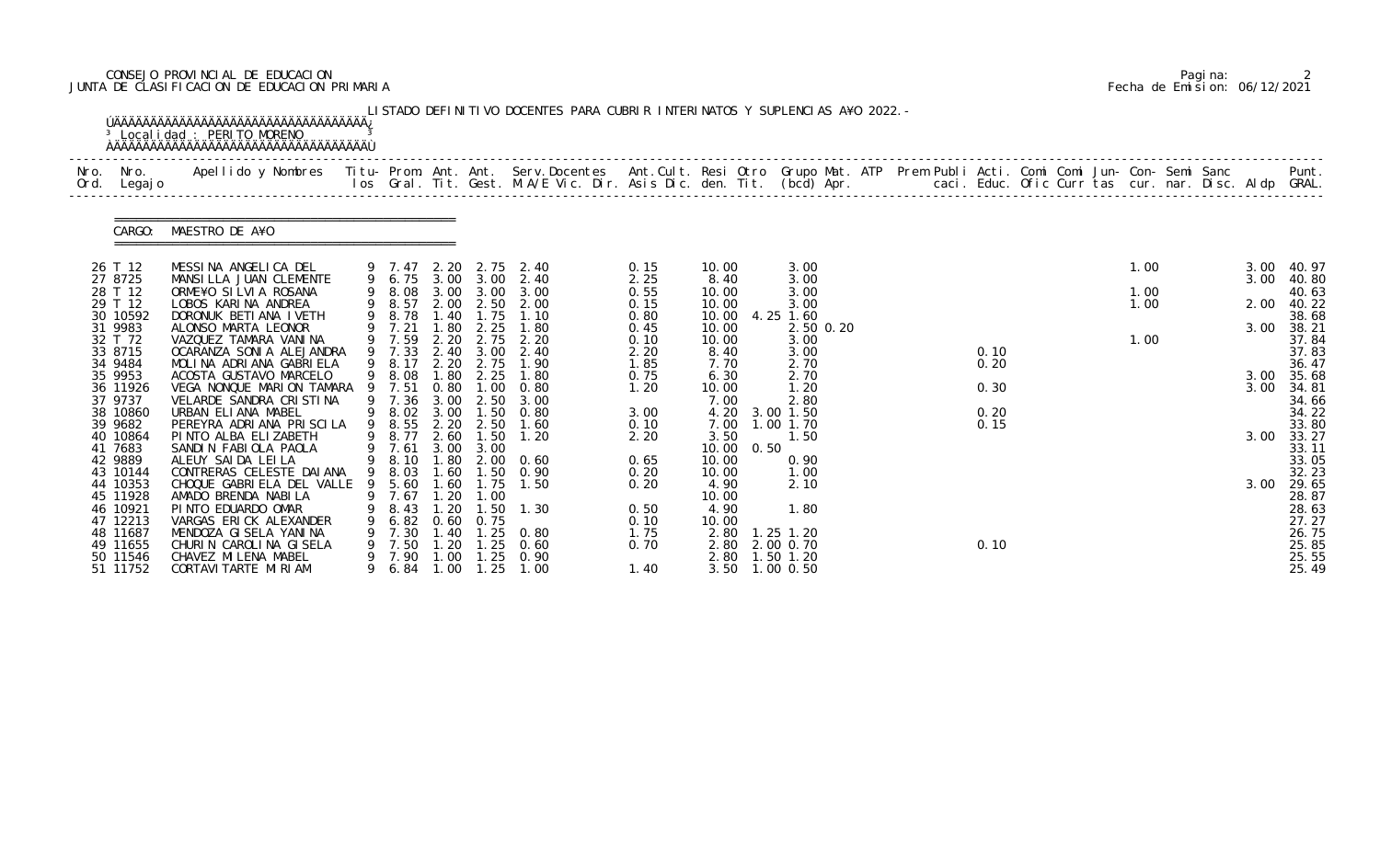# CONSEJO PROVINCIAL DE EDUCACION Pagina: 2 JUNTA DE CLASIFICACION DE EDUCACION PRIMARIA Fecha de Emision: 06/12/2021

|              |                      | <sup>3</sup> Localidad : PERITO MORENO                                                                                                                                                                                          |   |                  |               |                               | LISTADO DEFINITIVO DOCENTES PARA CUBRIR INTERINATOS Y SUPLENCIAS A¥O 2022. - |              |                |                   |  |      |  |      |  |      |                |
|--------------|----------------------|---------------------------------------------------------------------------------------------------------------------------------------------------------------------------------------------------------------------------------|---|------------------|---------------|-------------------------------|------------------------------------------------------------------------------|--------------|----------------|-------------------|--|------|--|------|--|------|----------------|
| Nro.<br>Ord. | Nro.<br>Legaj o      | Apellido y Nombres  Titu- Prom. Ant. Ant. Serv.Docentes  Ant.Cult. Resi Otro Grupo Mat. ATP Prem Publi Acti. Comi Comi Jun- Con- Semi Sanc         Punt.<br>Ios Gral. Tit. Gest. M.A/E Vic. Dir. Asis Dic. den. Tit. (bcd) Apr. |   |                  |               |                               |                                                                              |              |                |                   |  |      |  |      |  |      |                |
|              | CARGO:               | MAESTRO DE A¥O                                                                                                                                                                                                                  |   |                  |               |                               |                                                                              |              |                |                   |  |      |  |      |  |      |                |
|              | 26 T 12              | MESSINA ANGELICA DEL                                                                                                                                                                                                            |   | 9 7.47 2.20      |               | 2.75                          | 2.40                                                                         | 0.15         | 10.00          | 3.00              |  |      |  | 1.00 |  | 3.00 | 40. 97         |
|              | 27 8725              | MANSILLA JUAN CLEMENTE                                                                                                                                                                                                          |   |                  |               |                               | 9 6.75 3.00 3.00 2.40                                                        | 2.25         | 8.40           | 3.00              |  |      |  |      |  | 3.00 | 40.80          |
|              | 28 T 12<br>29 T 12   | ORME¥O SILVIA ROSANA                                                                                                                                                                                                            |   | 9 8.08<br>9 8.57 | 3.00          | 3.00                          | 3.00                                                                         | 0.55         | 10.00          | 3.00              |  |      |  | 1.00 |  |      | 40.63          |
|              | 30 10592             | LOBOS KARINA ANDREA<br>DORONUK BETIANA IVETH                                                                                                                                                                                    | 9 | 8.78             | 1.40          | 1.75                          | 2.00 2.50 2.00<br>1.10                                                       | 0.15<br>0.80 | 10.00<br>10.00 | 3.00<br>4.25 1.60 |  |      |  | 1.00 |  | 2.00 | 40.22<br>38.68 |
|              | 31 9983              | ALONSO MARTA LEONOR                                                                                                                                                                                                             |   | 9 7.21           | .80           | 2.25                          | 1.80                                                                         | 0.45         | 10.00          | 2.50 0.20         |  |      |  |      |  | 3.00 | 38.21          |
|              | 32 T 72              | VAZQUEZ TAMARA VANINA                                                                                                                                                                                                           |   | 9 7.59           | 2.20          | 2.75                          | 2.20                                                                         | 0.10         | 10.00          | 3.00              |  |      |  | 1.00 |  |      | 37.84          |
|              | 33 8715              | OCARANZA SONI A ALEJANDRA                                                                                                                                                                                                       |   | 9 7.33           |               | 2.40 3.00                     | 2.40                                                                         | 2.20         | 8.40           | 3.00              |  | 0.10 |  |      |  |      | 37.83          |
|              | 34 9484              | MOLINA ADRIANA GABRIELA                                                                                                                                                                                                         |   | 9 8.17           | 2.20          | 2.75                          | 1.90                                                                         | 1.85         | 7.70           | 2.70              |  | 0.20 |  |      |  |      | 36.47          |
|              | 35 9953              | ACOSTA GUSTAVO MARCELO                                                                                                                                                                                                          |   | 9 8.08           | .80           | 2.25                          | 1.80                                                                         | 0.75         | 6.30           | 2.70              |  |      |  |      |  | 3.00 | 35.68          |
|              | 36 11926<br>37 9737  | VEGA NONQUE MARION TAMARA<br>VELARDE SANDRA CRISTINA                                                                                                                                                                            |   | 9 7.51<br>9 7.36 | 0.80<br>3.00  | 1.00<br>2.50                  | 0.80<br>3.00                                                                 | 1.20         | 10.00<br>7.00  | 1.20<br>2.80      |  | 0.30 |  |      |  | 3.00 | 34.81<br>34.66 |
|              | 38 10860             | URBAN ELIANA MABEL                                                                                                                                                                                                              |   | 9 8.02           | 3.00          | 1.50                          | 0.80                                                                         | 3.00         | 4.20           | 3.00 1.50         |  | 0.20 |  |      |  |      | 34.22          |
|              | 39 9682              | PEREYRA ADRIANA PRISCILA                                                                                                                                                                                                        | 9 | 8.55             | 2.20          | 2.50                          | 1.60                                                                         | 0.10         | 7.00           | 1.00 1.70         |  | 0.15 |  |      |  |      | 33.80          |
|              | 40 10864             | PINTO ALBA ELIZABETH                                                                                                                                                                                                            |   | 8.77             | 2.60          | 1.50                          | 1.20                                                                         | 2.20         | 3.50           | 1.50              |  |      |  |      |  | 3.00 | 33.27          |
|              | 41 7683              | SANDIN FABIOLA PAOLA                                                                                                                                                                                                            |   | 7.61             | 3.00          | 3.00                          |                                                                              |              | 10.00<br>0.50  |                   |  |      |  |      |  |      | 33.11          |
|              | 42 9889              | ALEUY SAIDA LEILA                                                                                                                                                                                                               |   | 9 8.10           |               | 1.80 2.00                     | 0.60                                                                         | 0.65         | 10.00          | 0.90              |  |      |  |      |  |      | 33.05          |
|              | 43 10144             | CONTRERAS CELESTE DAI ANA                                                                                                                                                                                                       |   | 9 8.03           | .60           | (1.50)                        | 0.90                                                                         | 0.20         | 10.00          | 1.00              |  |      |  |      |  |      | 32.23          |
|              | 44 10353             | CHOQUE GABRIELA DEL VALLE 9 5.60                                                                                                                                                                                                |   |                  | 1.60          | 1.75                          | 1.50                                                                         | 0.20         | 4.90           | 2.10              |  |      |  |      |  | 3.00 | 29.65          |
|              | 45 11928<br>46 10921 | AMADO BRENDA NABILA<br>PINTO EDUARDO OMAR                                                                                                                                                                                       |   | 7.67<br>8.43     | 1. 20<br>. 20 | 1.00<br>. 50                  | 1.30                                                                         | 0.50         | 10.00<br>4.90  | 1.80              |  |      |  |      |  |      | 28.87<br>28.63 |
|              | 47 12213             | VARGAS ERICK ALEXANDER                                                                                                                                                                                                          |   | 6.82             | 0.60          | 0.75                          |                                                                              | 0.10         | 10.00          |                   |  |      |  |      |  |      | 27.27          |
|              | 48 11687             | MENDOZA GI SELA YANINA                                                                                                                                                                                                          |   | 7.30             | 1.40          | $\overline{\phantom{0}}$ . 25 | 0.80                                                                         | 1.75         | 2.80           | $1.25$ 1.20       |  |      |  |      |  |      | 26.75          |
|              | 49 11655             | CHURIN CAROLINA GISELA                                                                                                                                                                                                          |   | 7.50             | 20            | . 25                          | 0.60                                                                         | 0.70         | 2.80           | 2.00 0.70         |  | 0.10 |  |      |  |      | 25.85          |
|              | 50 11546             | CHAVEZ MI LENA MABEL                                                                                                                                                                                                            |   | 7.90             | 1.00          | $\overline{\phantom{0}}$ . 25 | 0.90                                                                         |              | 2.80 1.50 1.20 |                   |  |      |  |      |  |      | 25.55          |
|              | 51 11752             | CORTAVI TARTE MI RI AM                                                                                                                                                                                                          |   | 9 6.84           | 1.00          | 1.25                          | 1.00                                                                         | 1.40         | 3.50 1.00 0.50 |                   |  |      |  |      |  |      | 25.49          |

|  | Pagi na: |                              |
|--|----------|------------------------------|
|  |          | Fecha de Emision: 06/12/2021 |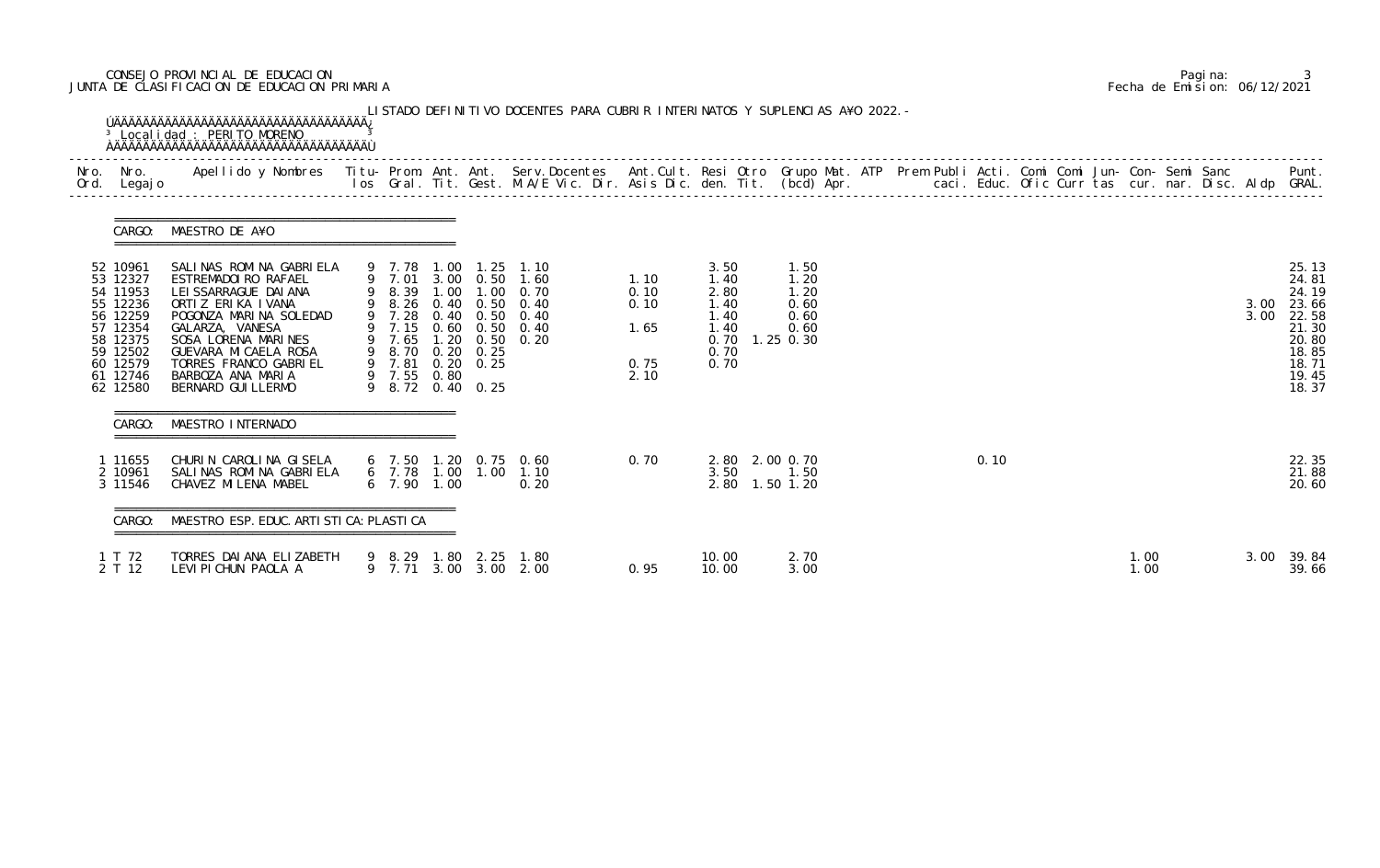# CONSEJO PROVINCIAL DE EDUCACION Pagina: 3 JUNTA DE CLASIFICACION DE EDUCACION PRIMARIA Fecha de Emision: 06/12/2021

|                                                                                                                                  | CARGO: MAESTRO DE A¥O                                                                                                                                                                                                                                          |                                           |                                                          |                                                                                                                                                        |                                              |                                                                                  |                                              |  |      |  |              |  |              |                                                                                                 |
|----------------------------------------------------------------------------------------------------------------------------------|----------------------------------------------------------------------------------------------------------------------------------------------------------------------------------------------------------------------------------------------------------------|-------------------------------------------|----------------------------------------------------------|--------------------------------------------------------------------------------------------------------------------------------------------------------|----------------------------------------------|----------------------------------------------------------------------------------|----------------------------------------------|--|------|--|--------------|--|--------------|-------------------------------------------------------------------------------------------------|
| 52 10961<br>53 12327<br>54 11953<br>55 12236<br>56 12259<br>57 12354<br>58 12375<br>59 12502<br>60 12579<br>61 12746<br>62 12580 | SALINAS ROMINA GABRIELA<br>ESTREMADOI RO RAFAEL<br>LEI SSARRAGUE DAI ANA<br>ORTIZ ERIKA IVANA<br>POGONZA MARINA SOLEDAD<br>GALARZA, VANESA<br>SOSA LORENA MARINES<br>GUEVARA MI CAELA ROSA<br>TORRES FRANCO GABRIEL<br>BARBOZA ANA MARIA<br>BERNARD GUI LLERMO | 9 7.01<br>9 7.28<br>9 7.65<br>9 7.55 0.80 | 9 8.70 0.20 0.25<br>9 7.81 0.20 0.25<br>9 8.72 0.40 0.25 | 9 7.78 1.00 1.25 1.10<br>3.00 0.50 1.60<br>9 8.39 1.00 1.00 0.70<br>9 8.26 0.40 0.50 0.40<br>0.40 0.50 0.40<br>9 7.15 0.60 0.50 0.40<br>1.20 0.50 0.20 | 1.10<br>0.10<br>0.10<br>1.65<br>0.75<br>2.10 | 3.50<br>1.40<br>2.80<br>1.40<br>1.40<br>1.40<br>$0.70$ 1.25 0.30<br>0.70<br>0.70 | 1.50<br>1.20<br>1.20<br>0.60<br>0.60<br>0.60 |  |      |  |              |  | 3.00<br>3.00 | 25.13<br>24.81<br>24.19<br>23.66<br>22.58<br>21.30<br>20.80<br>18.85<br>18.71<br>19.45<br>18.37 |
| CARGO:                                                                                                                           | MAESTRO INTERNADO                                                                                                                                                                                                                                              |                                           |                                                          |                                                                                                                                                        |                                              |                                                                                  |                                              |  |      |  |              |  |              |                                                                                                 |
| 1 11655<br>2 10961<br>3 11546                                                                                                    | CHURIN CAROLINA GISELA<br>SALINAS ROMINA GABRIELA<br>CHAVEZ MILENA MABEL                                                                                                                                                                                       | $6$ 7.90 1.00                             |                                                          | 6 7.50 1.20 0.75 0.60<br>6 7.78 1.00 1.00 1.10<br>0.20                                                                                                 | 0.70                                         | 2.80 2.00 0.70<br>3.50<br>2.80 1.50 1.20                                         | 1.50                                         |  | 0.10 |  |              |  |              | 22.35<br>21.88<br>20.60                                                                         |
| CARGO:                                                                                                                           | MAESTRO ESP. EDUC. ARTI STI CA: PLASTI CA                                                                                                                                                                                                                      |                                           |                                                          |                                                                                                                                                        |                                              |                                                                                  |                                              |  |      |  |              |  |              |                                                                                                 |
| 1 T 72<br>2 T 12                                                                                                                 | TORRES DAI ANA ELIZABETH<br>LEVI PI CHUN PAOLA A                                                                                                                                                                                                               | 9 7.71                                    | 9 8.29 1.80 2.25                                         | 1.80<br>3.00 3.00 2.00                                                                                                                                 | 0.95                                         | 10.00<br>10.00                                                                   | 2.70<br>3.00                                 |  |      |  | 1.00<br>1.00 |  | 3.00         | 39.84<br>39.66                                                                                  |

|  | Pagi na: |                              |
|--|----------|------------------------------|
|  |          | Fecha de Emision: 06/12/2021 |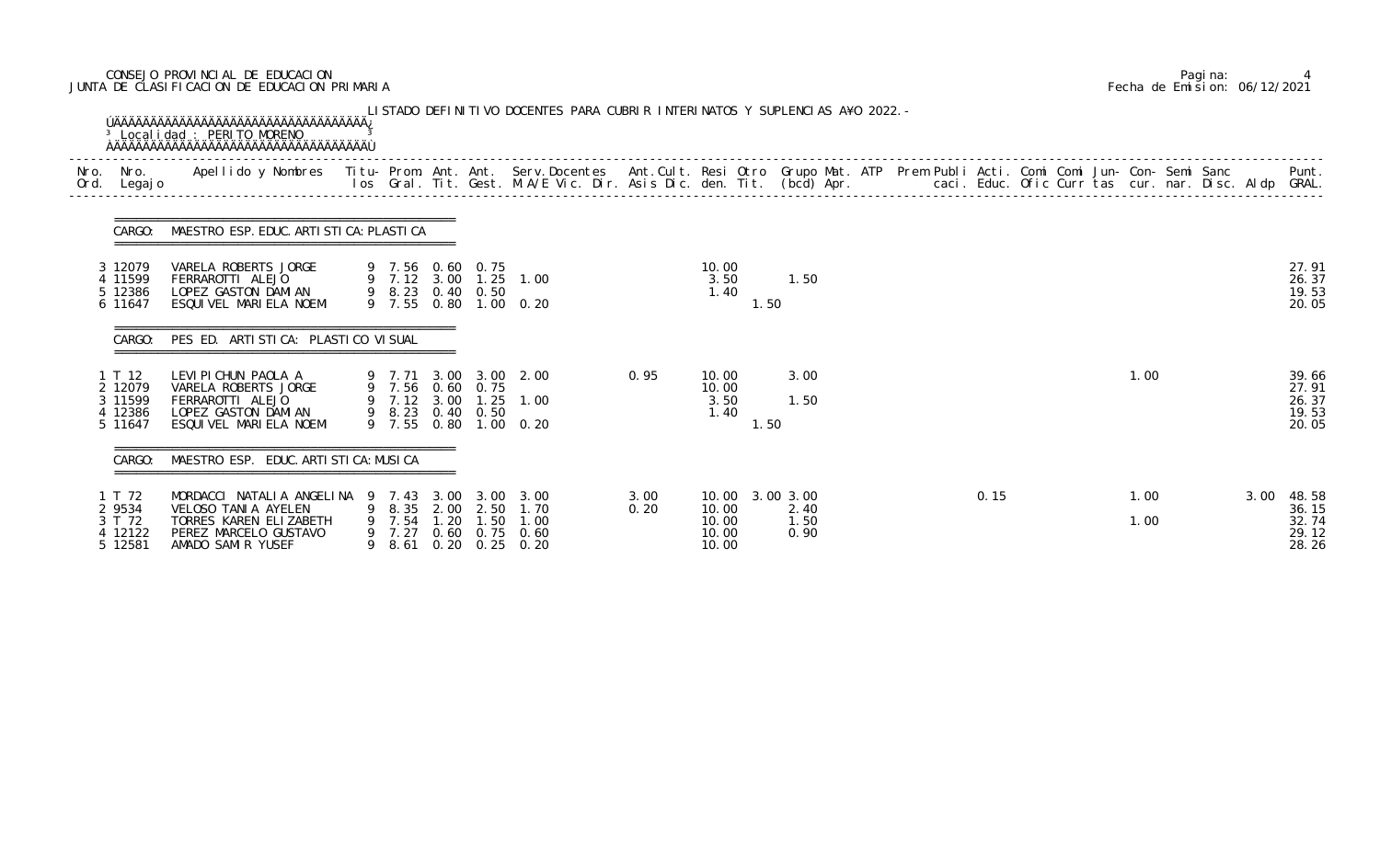# CONSEJO PROVINCIAL DE EDUCACION Pagina: 4 JUNTA DE CLASIFICACION DE EDUCACION PRIMARIA Fecha de Emision: 06/12/2021

| Nro.<br>Ord. | Nro.<br>Legaj o                                    | Apellido y Nombres - Titu- Prom. Ant. Ant. Serv.Docentes - Ant.Cult. Resi Otro Grupo Mat. ATP Prem Publi Acti. Comi Comi Jun- Con- Semi Sanc - - - Punt.<br>Ios Gral. Tit. Gest. M.A/E Vic. Dir. Asis Dic. den. Tit. (bcd) Apr. - |             |                              |              |                                               |                                                                      |              |                                                     |                      |      |              |  |                                                   |
|--------------|----------------------------------------------------|-----------------------------------------------------------------------------------------------------------------------------------------------------------------------------------------------------------------------------------|-------------|------------------------------|--------------|-----------------------------------------------|----------------------------------------------------------------------|--------------|-----------------------------------------------------|----------------------|------|--------------|--|---------------------------------------------------|
|              | CARGO:                                             | MAESTRO ESP. EDUC. ARTI STI CA: PLASTI CA                                                                                                                                                                                         |             |                              |              |                                               |                                                                      |              |                                                     |                      |      |              |  |                                                   |
|              | 3 12079<br>4 11599<br>5 12386<br>6 11647           | VARELA ROBERTS JORGE<br>FERRAROTTI ALEJO<br>LOPEZ GASTON DAMIAN<br>ESQUIVEL MARIELA NOEMI                                                                                                                                         |             |                              |              | 9 7.56 0.60 0.75<br>9 8.23 0.40 0.50          | 9 7.12 3.00 1.25 1.00<br>9 7.55 0.80 1.00 0.20                       |              | 10.00<br>3.50<br>1.40<br>1.50                       | 1.50                 |      |              |  | 27.91<br>26.37<br>19.53<br>20.05                  |
|              | CARGO:                                             | PES ED. ARTI STI CA: PLASTI CO VI SUAL                                                                                                                                                                                            |             |                              |              |                                               |                                                                      |              |                                                     |                      |      |              |  |                                                   |
|              | 1 T 12<br>2 12079<br>3 11599<br>4 12386<br>5 11647 | LEVI PI CHUN PAOLA A<br>VARELA ROBERTS JORGE<br>FERRAROTTI ALEJO<br>LOPEZ GASTON DAMIAN<br>ESQUIVEL MARIELA NOEMI                                                                                                                 |             | 9 7.12 3.00<br>9 7.55        |              | 9 7.56 0.60 0.75<br>1. 25<br>9 8.23 0.40 0.50 | 9 7.71 3.00 3.00 2.00<br>1.00<br>$0.80$ 1.00 0.20                    | 0.95         | 10.00<br>10.00<br>3.50<br>1.40<br>1.50              | 3.00<br>1.50         |      | 1.00         |  | 39.66<br>27.91<br>26.37<br>19.53<br>20.05         |
|              | CARGO:                                             | MAESTRO ESP. EDUC. ARTI STI CA: MUSI CA                                                                                                                                                                                           |             |                              |              |                                               |                                                                      |              |                                                     |                      |      |              |  |                                                   |
|              | T 72<br>2 9534<br>3 T 72<br>4 12122<br>5 12581     | MORDACCI NATALIA ANGELINA 9 7.43 3.00 3.00 3.00<br>VELOSO TANIA AYELEN<br>TORRES KAREN ELIZABETH<br>PEREZ MARCELO GUSTAVO<br>AMADO SAMIR YUSEF                                                                                    | 9<br>9<br>9 | 8.35<br>7.54<br>7.27<br>8.61 | 2.00<br>1.20 | 2.50<br>1.50                                  | 1.70<br>1.00<br>$0.60$ $0.75$ $0.60$<br>$0.20 \quad 0.25 \quad 0.20$ | 3.00<br>0.20 | 10.00 3.00 3.00<br>10.00<br>10.00<br>10.00<br>10.00 | 2.40<br>1.50<br>0.90 | 0.15 | 1.00<br>1.00 |  | 3.00<br>48.58<br>36.15<br>32.74<br>29.12<br>28.26 |

|  | Pagi na: |                              |
|--|----------|------------------------------|
|  |          | Fecha de Emision: 06/12/2021 |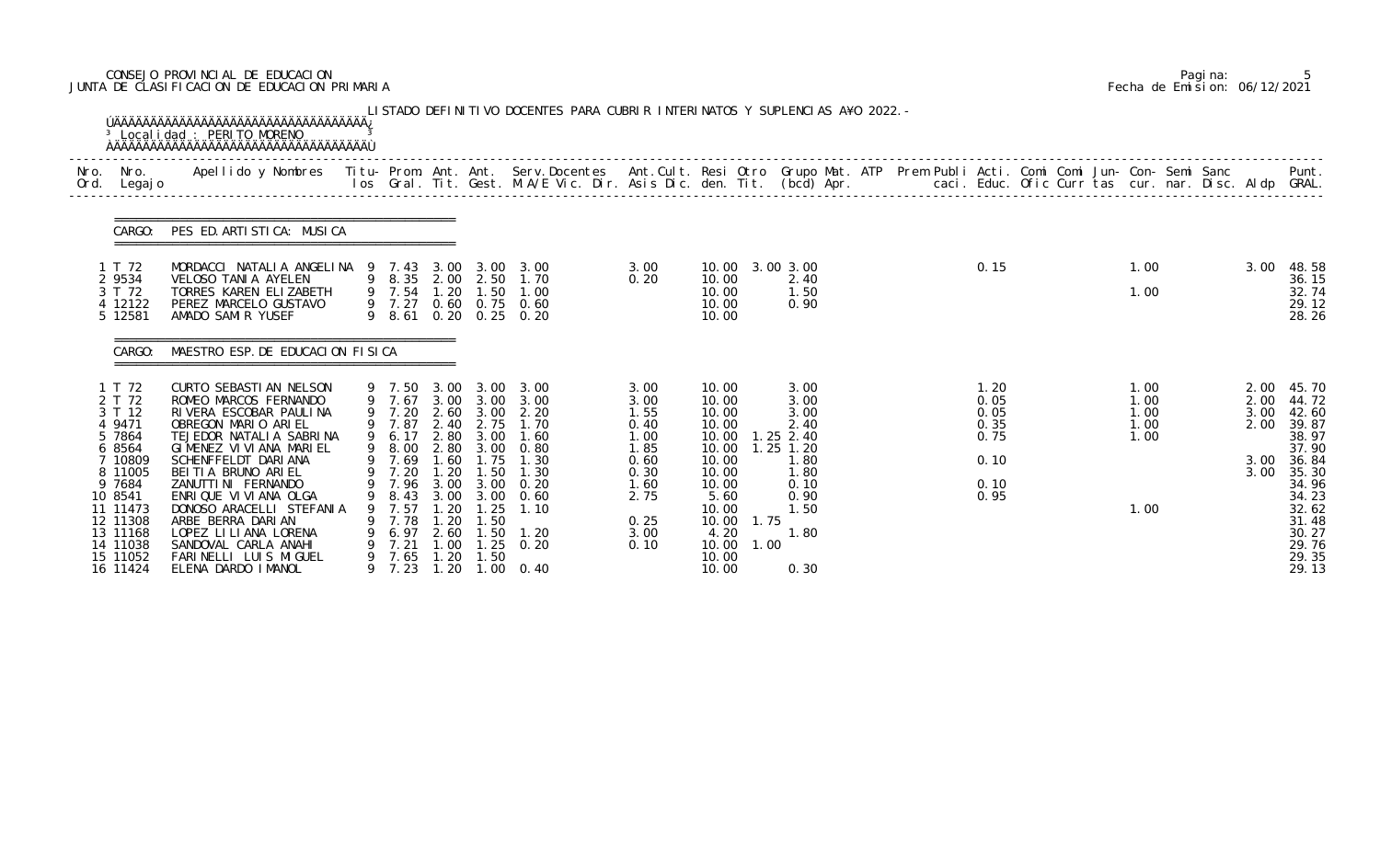# CONSEJO PROVINCIAL DE EDUCACION Pagina: 5 JUNTA DE CLASIFICACION DE EDUCACION PRIMARIA Fecha de Emision: 06/12/2021

|              |                                                                                                                 | <sup>3</sup> Localidad : PERITO MORENO                                                                                                                                                                                                       |        |                                                                                         |                                                             |                                                                                             | LISTADO DEFINITIVO DOCENTES PARA CUBRIR INTERINATOS Y SUPLENCIAS A¥O 2022. - |                                                      |                                                                                                      |                                                             |  |                                      |  |                                      |  |                              |                                                                                        |
|--------------|-----------------------------------------------------------------------------------------------------------------|----------------------------------------------------------------------------------------------------------------------------------------------------------------------------------------------------------------------------------------------|--------|-----------------------------------------------------------------------------------------|-------------------------------------------------------------|---------------------------------------------------------------------------------------------|------------------------------------------------------------------------------|------------------------------------------------------|------------------------------------------------------------------------------------------------------|-------------------------------------------------------------|--|--------------------------------------|--|--------------------------------------|--|------------------------------|----------------------------------------------------------------------------------------|
| Nro.<br>Ord. | Nro.<br>Legaj o                                                                                                 | Apellido y Nombres  Titu- Prom. Ant. Ant. Serv.Docentes  Ant.Cult. Resi Otro Grupo Mat. ATP Prem Publi Acti. Comi Comi Jun- Con- Semi Sanc         Punt.<br>Ios Gral. Tit. Gest. M.A/E Vic. Dir. Asis Dic. den. Tit. (bcd) Apr.              |        |                                                                                         |                                                             |                                                                                             |                                                                              |                                                      |                                                                                                      |                                                             |  |                                      |  |                                      |  |                              |                                                                                        |
|              | CARGO:                                                                                                          | PES ED. ARTISTICA: MUSICA                                                                                                                                                                                                                    |        |                                                                                         |                                                             |                                                                                             |                                                                              |                                                      |                                                                                                      |                                                             |  |                                      |  |                                      |  |                              |                                                                                        |
|              | 1 T 72<br>2 9534<br>3 T 72<br>4 12122<br>5 12581                                                                | MORDACCI NATALIA ANGELINA 9 7.43 3.00 3.00 3.00<br>VELOSO TANIA AYELEN<br>TORRES KAREN ELIZABETH<br>PEREZ MARCELO GUSTAVO<br>AMADO SAMIR YUSEF                                                                                               |        | 9 8.35 2.00 2.50<br>9 7.54<br>9 7.27                                                    | 1.20                                                        | 1.50                                                                                        | 1.70<br>1.00<br>$0.60$ $0.75$ $0.60$<br>9 8.61 0.20 0.25 0.20                | 3.00<br>0.20                                         | 10.00 3.00 3.00<br>10.00<br>10.00<br>10.00<br>10.00                                                  | 2.40<br>1.50<br>0.90                                        |  | 0.15                                 |  | 1.00<br>1.00                         |  | 3.00                         | 48.58<br>36.15<br>32.74<br>29.12<br>28.26                                              |
|              | CARGO:                                                                                                          | MAESTRO ESP. DE EDUCACION FISICA                                                                                                                                                                                                             |        |                                                                                         |                                                             |                                                                                             |                                                                              |                                                      |                                                                                                      |                                                             |  |                                      |  |                                      |  |                              |                                                                                        |
|              | 1 T 72<br>2 T 72<br>3 T 12<br>4 9471<br>5 7864<br>6 8564                                                        | CURTO SEBASTI AN NELSON<br>ROMEO MARCOS FERNANDO<br>RIVERA ESCOBAR PAULINA<br>OBREGON MARIO ARIEL<br>TEJEDOR NATALIA SABRINA<br>GIMENEZ VI VI ANA MARI EL                                                                                    |        | 9 7.50<br>9 7.67<br>9 7.20<br>9 7.87<br>6.17<br>9 8.00                                  | 3.00<br>3.00<br>2.60<br>2.80<br>2.80                        | 3.00<br>3.00<br>3.00<br>2.40 2.75<br>3.00<br>3.00                                           | 3.00<br>3.00<br>2.20<br>1.70<br>1.60<br>0.80                                 | 3.00<br>3.00<br>1.55<br>0.40<br>1.00<br>1.85         | 10.00<br>10.00<br>10.00<br>10.00<br>10.00<br>10.00                                                   | 3.00<br>3.00<br>3.00<br>2.40<br>. 25 2. 40<br>$1.25$ $1.20$ |  | 1.20<br>0.05<br>0.05<br>0.35<br>0.75 |  | 1.00<br>1.00<br>1.00<br>1.00<br>1.00 |  | 2.00<br>2.00<br>3.00<br>2.00 | 45.70<br>44.72<br>42.60<br>39.87<br>38.97<br>37.90                                     |
|              | 7 10809<br>8 11005<br>9 7684<br>10 8541<br>11 11473<br>12 11308<br>13 11168<br>14 11038<br>15 11052<br>16 11424 | SCHENFFELDT DARIANA<br>BEITIA BRUNO ARIEL<br>ZANUTTI NI FERNANDO<br>ENRIQUE VI VI ANA OLGA<br>DONOSO ARACELLI STEFANIA<br>ARBE BERRA DARIAN<br>LOPEZ LI LI ANA LORENA<br>SANDOVAL CARLA ANAHI<br>FARINELLI LUIS MIGUEL<br>ELENA DARDO IMANOL | 9<br>9 | 9 7.69<br>9 7.20<br>9 7.96 3.00<br>8.43<br>7.57<br>7.78<br>6.97<br>7.21<br>7.65<br>7.23 | 1.60<br>.20<br>3.00<br>. 20<br>2.60<br>. 00<br>1.20<br>1.20 | 1.75<br>1.50<br>3.00<br>3.00<br>. 25<br>$\overline{.50}$<br>$\overline{.50}$<br>.25<br>1.50 | 1.30<br>1.30<br>0.20<br>0.60<br>1.10<br>1.20<br>0.20<br>$1.00 \t 0.40$       | 0.60<br>0.30<br>1.60<br>2.75<br>0.25<br>3.00<br>0.10 | 10.00<br>10.00<br>10.00<br>5.60<br>10.00<br>1.75<br>10.00<br>4.20<br>10.00<br>1.00<br>10.00<br>10.00 | 1. 80<br>1.80<br>0.10<br>0.90<br>1.50<br>1.80<br>0.30       |  | 0.10<br>0.10<br>0.95                 |  | 1.00                                 |  | 3.00<br>3.00                 | 36.84<br>35.30<br>34.96<br>34.23<br>32.62<br>31.48<br>30.27<br>29.76<br>29.35<br>29.13 |

|  | Pagi na: |                              |
|--|----------|------------------------------|
|  |          | Fecha de Emision: 06/12/2021 |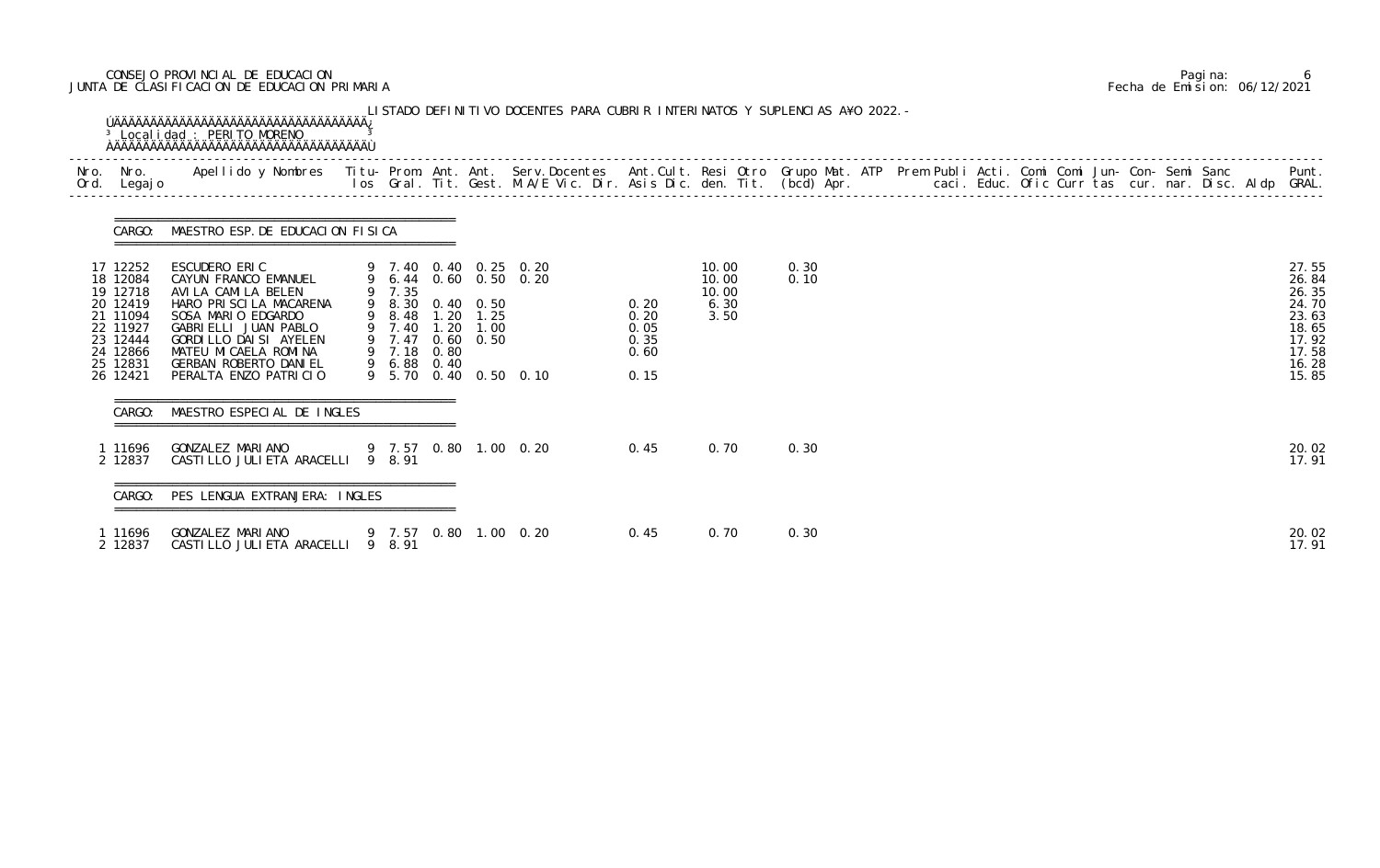# CONSEJO PROVINCIAL DE EDUCACION Pagina: 6 JUNTA DE CLASIFICACION DE EDUCACION PRIMARIA Fecha de Emision: 06/12/2021

| Nro. | Nro.<br>Ord. Legajo                                                                                                  | Apellido y Nombres - Titu- Prom. Ant. Ant. Serv.Docentes - Ant.Cult. Resi Otro Grupo Mat. ATP Prem Publi Acti. Comi Comi Jun- Con- Semi Sanc - - - - Punt.<br>Ios Gral. Tit. Gest. M.A/E Vic. Dir. Asis Dic. den. Tit. (bcd) Apr.         |                                                                                             |              |                       |                                                                         |                                              |                                         |              |  |  |  |  |                                                                                        |
|------|----------------------------------------------------------------------------------------------------------------------|-------------------------------------------------------------------------------------------------------------------------------------------------------------------------------------------------------------------------------------------|---------------------------------------------------------------------------------------------|--------------|-----------------------|-------------------------------------------------------------------------|----------------------------------------------|-----------------------------------------|--------------|--|--|--|--|----------------------------------------------------------------------------------------|
|      |                                                                                                                      | CARGO: MAESTRO ESP. DE EDUCACION FISICA                                                                                                                                                                                                   |                                                                                             |              |                       |                                                                         |                                              |                                         |              |  |  |  |  |                                                                                        |
|      | 17 12252<br>18 12084<br>19 12718<br>20 12419<br>21 11094<br>22 11927<br>23 12444<br>24 12866<br>25 12831<br>26 12421 | ESCUDERO ERIC<br>CAYUN FRANCO EMANUEL<br>AVILA CAMILA BELEN<br>HARO PRISCILA MACARENA<br>SOSA MARIO EDGARDO<br>GABRIELLI JUAN PABLO<br>GORDI LLO DAI SI AYELEN<br>MATEU MI CAELA ROMINA<br>GERBAN ROBERTO DANIEL<br>PERALTA ENZO PATRICIO | 9 7.35<br>9 8.30 0.40 0.50<br>9 8.48<br>9 7.40<br>9 7.47 0.60 0.50<br>9 7.18<br>9 6.88 0.40 | 1.20<br>0.80 | $1.20$ $1.25$<br>1.00 | 9 7.40 0.40 0.25 0.20<br>9 6.44 0.60 0.50 0.20<br>9 5.70 0.40 0.50 0.10 | 0.20<br>0.20<br>0.05<br>0.35<br>0.60<br>0.15 | 10.00<br>10.00<br>10.00<br>6.30<br>3.50 | 0.30<br>0.10 |  |  |  |  | 27.55<br>26.84<br>26.35<br>24.70<br>23.63<br>18.65<br>17.92<br>17.58<br>16.28<br>15.85 |
|      | CARGO:                                                                                                               | MAESTRO ESPECIAL DE INGLES                                                                                                                                                                                                                |                                                                                             |              |                       |                                                                         |                                              |                                         |              |  |  |  |  |                                                                                        |
|      | 1 11696<br>2 12837                                                                                                   | GONZALEZ MARIANO<br>CASTILLO JULIETA ARACELLI 9 8.91                                                                                                                                                                                      |                                                                                             |              |                       | 9 7.57 0.80 1.00 0.20                                                   | 0.45                                         | 0.70                                    | 0.30         |  |  |  |  | 20.02<br>17.91                                                                         |
|      | CARGO:                                                                                                               | PES LENGUA EXTRANJERA: INGLES                                                                                                                                                                                                             |                                                                                             |              |                       |                                                                         |                                              |                                         |              |  |  |  |  |                                                                                        |
|      | 1 11696<br>2 12837                                                                                                   | GONZALEZ MARIANO 4 9 7.57 0.80 1.00 0.20<br>CASTILLO JULIETA ARACELLI 9 8.91                                                                                                                                                              |                                                                                             |              |                       |                                                                         | 0.45                                         | 0.70                                    | 0.30         |  |  |  |  | 20.02<br>17.91                                                                         |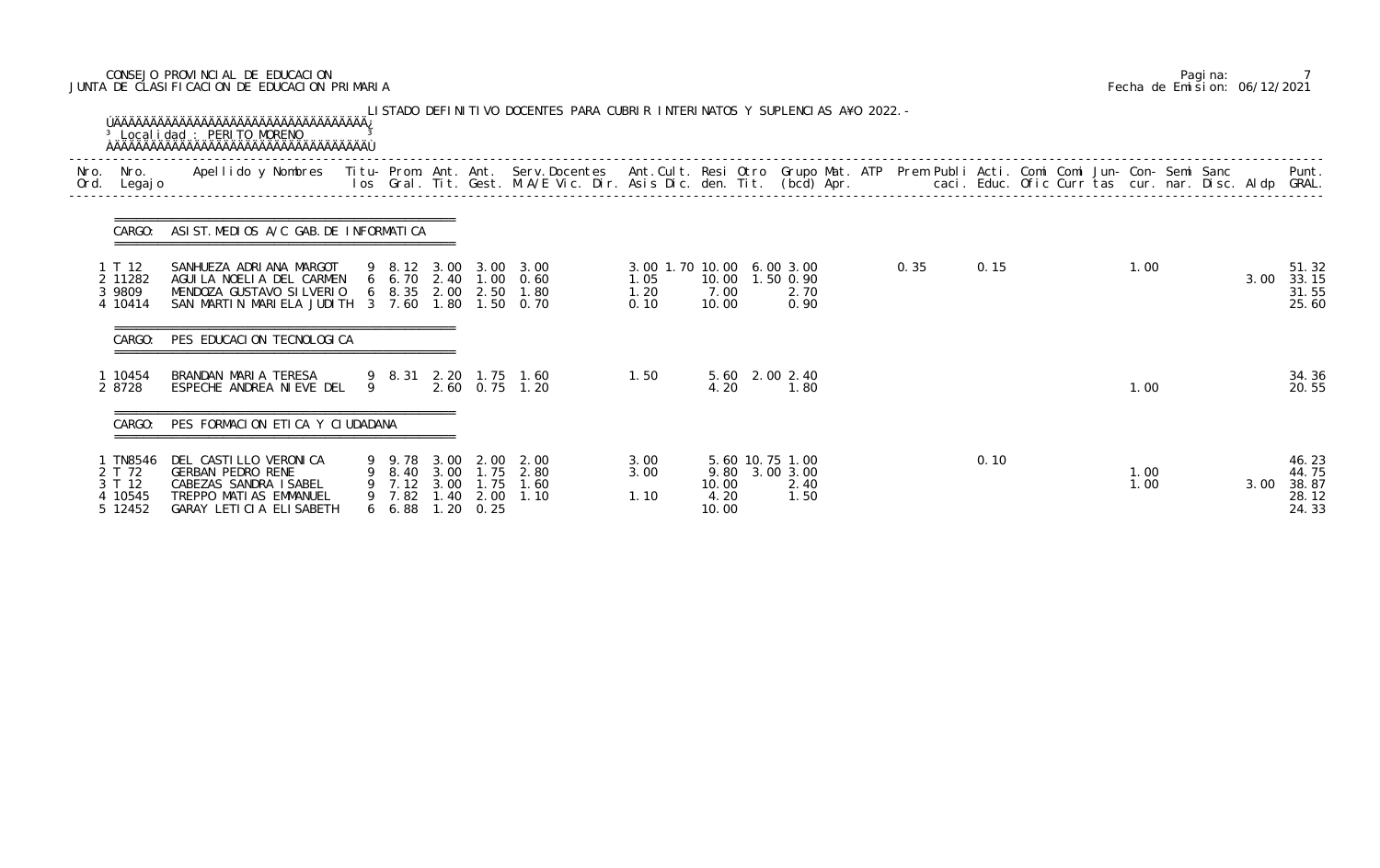# CONSEJO PROVINCIAL DE EDUCACION Pagina: 7 JUNTA DE CLASIFICACION DE EDUCACION PRIMARIA Fecha de Emision: 06/12/2021

| Nro.<br>Ord. | Nro.<br>Legaj o                                  | Apellido y Nombres - Titu- Prom. Ant. Ant. Serv.Docentes - Ant.Cult. Resi Otro Grupo Mat. ATP - Prem Publi Acti. Comi Comi Jun- Con- Semi Sanc - Sanc - Semi Sanc - Semi Sanc - Semi Sanc - Semi Sanc - Semi Sanc - Semi Sanc |   |                              |      |                           |                                                                          |                                                   |                        |                                                   |  | caci. Educ. Ofic Curr tas cur. nar. Disc. Aldp GRAL. |      |  |              |      | Punt.                                     |
|--------------|--------------------------------------------------|-------------------------------------------------------------------------------------------------------------------------------------------------------------------------------------------------------------------------------|---|------------------------------|------|---------------------------|--------------------------------------------------------------------------|---------------------------------------------------|------------------------|---------------------------------------------------|--|------------------------------------------------------|------|--|--------------|------|-------------------------------------------|
|              | CARGO:                                           | ASIST. MEDIOS A/C GAB. DE INFORMATICA                                                                                                                                                                                         |   |                              |      |                           |                                                                          |                                                   |                        |                                                   |  |                                                      |      |  |              |      |                                           |
|              | 1 T 12<br>2 11282<br>3 9809<br>4 10414           | SANHUEZA ADRIANA MARGOT<br>AGUILA NOELIA DEL CARMEN<br>MENDOZA GUSTAVO SILVERIO<br>SAN MARTIN MARIELA JUDITH 3 7.60 1.80 1.50 0.70                                                                                            |   |                              |      |                           | 9 8.12 3.00 3.00 3.00<br>6 6.70 2.40 1.00 0.60<br>6 8.35 2.00 2.50 1.80  | 3.00 1.70 10.00 6.00 3.00<br>1.05<br>1.20<br>0.10 | 7.00<br>10.00          | 10.00  1.50  0.90<br>2.70<br>0.90                 |  | 0.35                                                 | 0.15 |  | 1.00         | 3.00 | 51.32<br>33.15<br>31.55<br>25.60          |
|              | CARGO:                                           | PES EDUCACION TECNOLOGICA                                                                                                                                                                                                     |   |                              |      |                           |                                                                          |                                                   |                        |                                                   |  |                                                      |      |  |              |      |                                           |
|              | 1 10454<br>2 8728                                | BRANDAN MARIA TERESA<br>ESPECHE ANDREA NIEVE DEL                                                                                                                                                                              | 9 |                              |      |                           | 9 8.31 2.20 1.75 1.60<br>2.60 0.75 1.20                                  | 1.50                                              | 4.20                   | 5.60 2.00 2.40<br>1.80                            |  |                                                      |      |  | 1.00         |      | 34.36<br>20.55                            |
|              | CARGO:                                           | PES FORMACION ETICA Y CIUDADANA                                                                                                                                                                                               |   |                              |      |                           |                                                                          |                                                   |                        |                                                   |  |                                                      |      |  |              |      |                                           |
|              | TN8546<br>2 T 72<br>3 T 12<br>4 10545<br>5 12452 | DEL CASTILLO VERONICA<br><b>GERBAN PEDRO RENE</b><br>CABEZAS SANDRA ISABEL<br>TREPPO MATIAS EMMANUEL<br>GARAY LETICIA ELISABETH                                                                                               |   | 9 9.78<br>9 7.82<br>6, 6, 88 | 3.00 | 2.00<br>$1.20 \quad 0.25$ | 2.00<br>9 8.40 3.00 1.75 2.80<br>9 7.12 3.00 1.75 1.60<br>1.40 2.00 1.10 | 3.00<br>3.00<br>1.10                              | 10.00<br>4.20<br>10.00 | 5.60 10.75 1.00<br>9.80 3.00 3.00<br>2.40<br>1.50 |  |                                                      | 0.10 |  | 1.00<br>1.00 | 3.00 | 46.23<br>44.75<br>38.87<br>28.12<br>24.33 |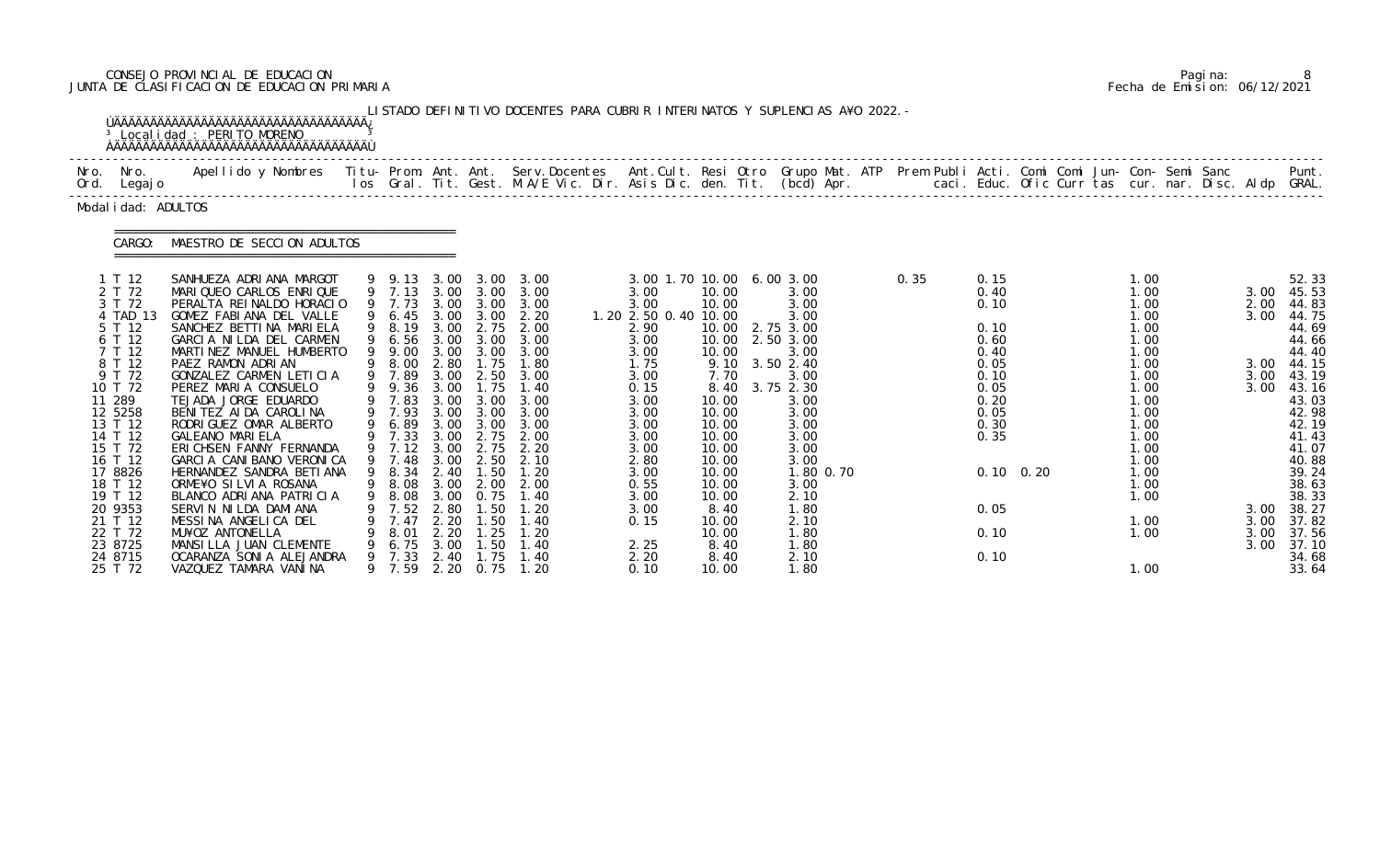# CONSEJO PROVINCIAL DE EDUCACION Pagina: 8 JUNTA DE CLASIFICACION DE EDUCACION PRIMARIA Fecha de Emision: 06/12/2021

|                                                                                                                                                                                                                                                                         | <sup>3</sup> Local i dad : PERITO MORENO<br><b>AAAAAAAAAAAAAAAAAAAAAAAAAAAAAAAAAAAA</b>                                                                                                                                                                                                                                                                                                                                                                                                                                                                                                                                                                           |                                                                                                                                                                         |                                                                              |                                                                                                                                    | LISTADO DEFINITIVO DOCENTES PARA CUBRIR INTERINATOS Y SUPLENCIAS A¥O 2022. -                                                                                                                                                                                                                                                                                            |                                                                                                                                                                                                                                       |                                                                                                                                                                     |                                                                                                                                                                                                                                             |      |                                                                                                                              |                   |                                                                                                                                                                              |  |                                                                      |                                                                                                                                                                                                                                    |
|-------------------------------------------------------------------------------------------------------------------------------------------------------------------------------------------------------------------------------------------------------------------------|-------------------------------------------------------------------------------------------------------------------------------------------------------------------------------------------------------------------------------------------------------------------------------------------------------------------------------------------------------------------------------------------------------------------------------------------------------------------------------------------------------------------------------------------------------------------------------------------------------------------------------------------------------------------|-------------------------------------------------------------------------------------------------------------------------------------------------------------------------|------------------------------------------------------------------------------|------------------------------------------------------------------------------------------------------------------------------------|-------------------------------------------------------------------------------------------------------------------------------------------------------------------------------------------------------------------------------------------------------------------------------------------------------------------------------------------------------------------------|---------------------------------------------------------------------------------------------------------------------------------------------------------------------------------------------------------------------------------------|---------------------------------------------------------------------------------------------------------------------------------------------------------------------|---------------------------------------------------------------------------------------------------------------------------------------------------------------------------------------------------------------------------------------------|------|------------------------------------------------------------------------------------------------------------------------------|-------------------|------------------------------------------------------------------------------------------------------------------------------------------------------------------------------|--|----------------------------------------------------------------------|------------------------------------------------------------------------------------------------------------------------------------------------------------------------------------------------------------------------------------|
| Nro. Nro.<br>Ord. Legajo                                                                                                                                                                                                                                                | Apellido y Nombres  Titu- Prom. Ant. Ant.  Serv.Docentes  Ant.Cult. Resi Otro  Grupo Mat. ATP  Prem Publi Acti. Comi Comi Jun- Con- Semi Sanc                Punt.<br>Ios Gral. Tit. Gest. M.A/E Vic. Dir. Asis Dic. den. Tit. (b                                                                                                                                                                                                                                                                                                                                                                                                                                 |                                                                                                                                                                         |                                                                              |                                                                                                                                    |                                                                                                                                                                                                                                                                                                                                                                         |                                                                                                                                                                                                                                       |                                                                                                                                                                     |                                                                                                                                                                                                                                             |      |                                                                                                                              |                   |                                                                                                                                                                              |  |                                                                      |                                                                                                                                                                                                                                    |
| Modal i dad: ADULTOS                                                                                                                                                                                                                                                    |                                                                                                                                                                                                                                                                                                                                                                                                                                                                                                                                                                                                                                                                   |                                                                                                                                                                         |                                                                              |                                                                                                                                    |                                                                                                                                                                                                                                                                                                                                                                         |                                                                                                                                                                                                                                       |                                                                                                                                                                     |                                                                                                                                                                                                                                             |      |                                                                                                                              |                   |                                                                                                                                                                              |  |                                                                      |                                                                                                                                                                                                                                    |
| CARGO:                                                                                                                                                                                                                                                                  | MAESTRO DE SECCION ADULTOS                                                                                                                                                                                                                                                                                                                                                                                                                                                                                                                                                                                                                                        |                                                                                                                                                                         |                                                                              |                                                                                                                                    |                                                                                                                                                                                                                                                                                                                                                                         |                                                                                                                                                                                                                                       |                                                                                                                                                                     |                                                                                                                                                                                                                                             |      |                                                                                                                              |                   |                                                                                                                                                                              |  |                                                                      |                                                                                                                                                                                                                                    |
| 1 T 12<br>2 T 72<br>3 T 72<br>4 TAD 13<br>5 T 12<br>6 T 12<br>7 T 12<br>8 T 12<br>9 T 72<br>10 T 72<br>11 289<br>12 5258<br>13 T 12<br>14 T 12<br>15 T 72<br>16 T 12<br>17 8826<br>18 T 12<br>19 T 12<br>20 9353<br>21 T 12<br>22 T 72<br>23 8725<br>24 8715<br>25 T 72 | SANHUEZA ADRIANA MARGOT<br>MARIQUEO CARLOS ENRIQUE<br>PERALTA REINALDO HORACIO<br>GOMEZ FABIANA DEL VALLE<br>SANCHEZ BETTINA MARIELA<br>GARCIA NILDA DEL CARMEN<br>MARTINEZ MANUEL HUMBERTO<br>PAEZ RAMON ADRIAN<br>GONZALEZ CARMEN LETICIA<br>PEREZ MARIA CONSUELO<br>TEJADA JORGE EDUARDO<br>BENITEZ AIDA CAROLINA<br>RODRIGUEZ OMAR ALBERTO<br><b>GALEANO MARIELA</b><br>ERICHSEN FANNY FERNANDA<br>GARCIA CANIBANO VERONICA<br>HERNANDEZ SANDRA BETIANA<br>ORME¥O SILVIA ROSANA<br>BLANCO ADRIANA PATRICIA<br>SERVIN NILDA DAMIANA<br>MESSINA ANGELICA DEL<br>MU¥OZ ANTONELLA<br>MANSILLA JUAN CLEMENTE<br>OCARANZA SONI A ALEJANDRA<br>VAZQUEZ TAMARA VANINA | 9 7.73<br>9 6.45<br>9 9.00<br>9 8.00 2.80<br>9 7.89<br>9 9.36<br>9 7.83<br>9 7.93<br>6.89<br>9 7.12<br>9 7.48<br>8.08<br>7.52<br>7.47<br>8.01<br>6.75<br>7.33<br>9 7.59 | 3.00<br>3.00<br>3.00<br>3.00<br>2.80<br>2.20<br>2.20<br>3.00<br>2.40<br>2.20 | 3.00<br>1.75<br>3.00 2.50<br>1.75<br>$3.00 \quad 3.00$<br>3.00 3.00<br>2.75<br>0.75<br>. 50<br>. 50<br>.25<br>.50<br>l. 75<br>0.75 | 9 9.13 3.00 3.00 3.00<br>9 7.13 3.00 3.00 3.00<br>3.00 3.00 3.00<br>3.00 3.00 2.20<br>9 8.19 3.00 2.75 2.00<br>9 6.56 3.00 3.00 3.00<br>3.00<br>1.80<br>3.00<br>1.40<br>3.00 3.00 3.00<br>3.00<br>3.00<br>9 7.33 3.00 2.75 2.00<br>2.20<br>3.00 2.50 2.10<br>9 8.34 2.40 1.50 1.20<br>9 8.08 3.00 2.00 2.00<br>. 40<br>.20<br>1. 40<br>1. 20<br>l . 40<br>1. 40<br>1.20 | 3.00 1.70 10.00 6.00 3.00<br>3.00<br>3.00<br>1. 20 2. 50 0. 40 10. 00<br>2.90<br>3.00<br>3.00<br>1.75<br>3.00<br>0.15<br>3.00<br>3.00<br>3.00<br>3.00<br>3.00<br>2.80<br>3.00<br>0.55<br>3.00<br>3.00<br>0.15<br>2.25<br>2.20<br>0.10 | 10.00<br>10.00<br>10.00<br>7.70<br>10.00<br>10.00<br>10.00<br>10.00<br>10.00<br>10.00<br>10.00<br>10.00<br>10.00<br>8.40<br>10.00<br>10.00<br>8.40<br>8.40<br>10.00 | 3.00<br>3.00<br>3.00<br>10.00 2.75 3.00<br>10.00 2.50 3.00<br>3.00<br>9.10 3.50 2.40<br>3.00<br>8.40 3.75 2.30<br>3.00<br>3.00<br>3.00<br>3.00<br>3.00<br>3.00<br>1.80 0.70<br>3.00<br>2.10<br>1.80<br>2.10<br>1.80<br>1.80<br>2.10<br>1.80 | 0.35 | 0.15<br>0.40<br>0.10<br>0.10<br>0.60<br>0.40<br>0.05<br>0.10<br>0.05<br>0.20<br>0.05<br>0.30<br>0.35<br>0.05<br>0.10<br>0.10 | $0.10 \quad 0.20$ | 1.00<br>1.00<br>1.00<br>1.00<br>1.00<br>1.00<br>1.00<br>1.00<br>1.00<br>1.00<br>1.00<br>1.00<br>1.00<br>1.00<br>1.00<br>1.00<br>1.00<br>1.00<br>1.00<br>1.00<br>1.00<br>1.00 |  | 3.00<br>2.00<br>3.00<br>3.00<br>3.00<br>3.00<br>3.00<br>3.00<br>3.00 | 52.33<br>45.53<br>44.83<br>44.75<br>44.69<br>44.66<br>44.40<br>3.00 44.15<br>43.19<br>43.16<br>43.03<br>42.98<br>42.19<br>41.43<br>41.07<br>40.88<br>39.24<br>38.63<br>38.33<br>38.27<br>37.82<br>37.56<br>37.10<br>34.68<br>33.64 |

|  | Pagi na: |                              |
|--|----------|------------------------------|
|  |          | Fecha de Emision: 06/12/2021 |